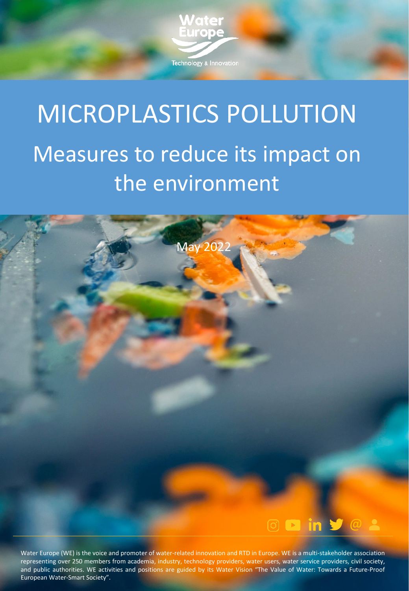

# MICROPLASTICS POLLUTION Measures to reduce its impact on the environment



Water Europe (WE) is the voice and promoter of water-related innovation and RTD in Europe. WE is a multi-stakeholder association representing over 250 members from academia, industry, technology providers, water users, water service providers, civil society, and public authorities. WE activities and positions are guided by its Water Vision "The Value of Water: Towards a Future-Proof European Water-Smart Society".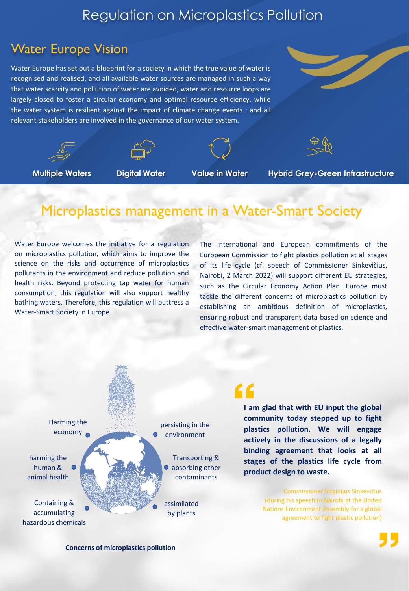#### Regulation on Microplastics Pollution

#### Water Europe Vision

Water Europe has set out a blueprint for a society in which the true value of water is recognised and realised, and all available water sources are managed in such a way that water scarcity and pollution of water are avoided, water and resource loops are largely closed to foster a circular economy and optimal resource efficiency, while the water system is resilient against the impact of climate change events ; and all relevant stakeholders are involved in the governance of our water system.









**Multiple Waters Digital Water Value in Water Hybrid Grey-Green Infrastructure**

### Microplastics management in a Water-Smart Society

Water Europe welcomes the initiative for a regulation on microplastics pollution, which aims to improve the science on the risks and occurrence of microplastics pollutants in the environment and reduce pollution and health risks. Beyond protecting tap water for human consumption, this regulation will also support healthy bathing waters. Therefore, this regulation will buttress a Water-Smart Society in Europe.

The international and European commitments of the European Commission to fight plastics pollution at all stages of its life cycle (cf. speech of Commissioner Sinkevičius, Nairobi, 2 March 2022) will support different EU strategies, such as the Circular Economy Action Plan. Europe must tackle the different concerns of microplastics pollution by establishing an ambitious definition of microplastics, ensuring robust and transparent data based on science and effective water-smart management of plastics.



### 66

**I am glad that with EU input the global community today stepped up to fight plastics pollution. We will engage actively in the discussions of a legally binding agreement that looks at all stages of the plastics life cycle from product design to waste.**

> Commissioner Virginijus Sinkevičius (during his speech in Nairobi at the United Nations Environment Assembly for a global agreement to fight plastic pollution)

**Concerns of microplastics pollution**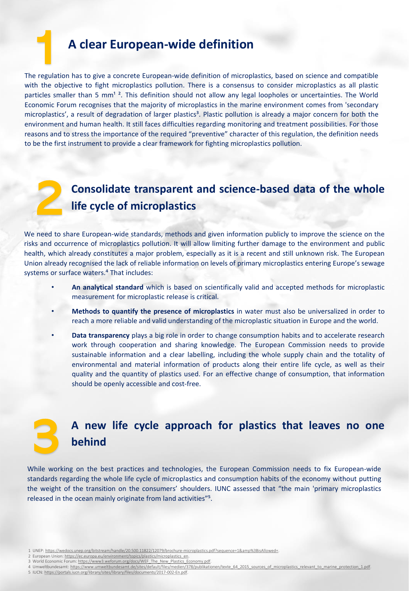#### 1 **<sup>A</sup> clear European-wide definition**

The regulation has to give a concrete European-wide definition of microplastics, based on science and compatible with the objective to fight microplastics pollution. There is a consensus to consider microplastics as all plastic particles smaller than 5 mm<sup>12</sup>. This definition should not allow any legal loopholes or uncertainties. The World Economic Forum recognises that the majority of microplastics in the marine environment comes from 'secondary microplastics', a result of degradation of larger plastics<sup>3</sup>. Plastic pollution is already a major concern for both the environment and human health. It still faces difficulties regarding monitoring and treatment possibilities. For those reasons and to stress the importance of the required "preventive" character of this regulation, the definition needs to be the first instrument to provide a clear framework for fighting microplastics pollution.



3

## **Consolidate transparent and science-based data of the whole** 2**life cycle of microplastics**

We need to share European-wide standards, methods and given information publicly to improve the science on the risks and occurrence of microplastics pollution. It will allow limiting further damage to the environment and public health, which already constitutes a major problem, especially as it is a recent and still unknown risk. The European Union already recognised the lack of reliable information on levels of primary microplastics entering Europe's sewage systems or surface waters.<sup>4</sup> That includes:

- **An analytical standard** which is based on scientifically valid and accepted methods for microplastic measurement for microplastic release is critical.
- **Methods to quantify the presence of microplastics** in water must also be universalized in order to reach a more reliable and valid understanding of the microplastic situation in Europe and the world.
- **Data transparency** plays a big role in order to change consumption habits and to accelerate research work through cooperation and sharing knowledge. The European Commission needs to provide sustainable information and a clear labelling, including the whole supply chain and the totality of environmental and material information of products along their entire life cycle, as well as their quality and the quantity of plastics used. For an effective change of consumption, that information should be openly accessible and cost-free.

#### **A new life cycle approach for plastics that leaves no one behind**

While working on the best practices and technologies, the European Commission needs to fix European-wide standards regarding the whole life cycle of microplastics and consumption habits of the economy without putting the weight of the transition on the consumers' shoulders. IUNC assessed that "the main 'primary microplastics released in the ocean mainly originate from land activities"<sup>5</sup>.

- 1 UNEP: [https://wedocs.unep.org/bitstream/handle/20.500.11822/12079/brochure-microplastics.pdf?sequence=1&amp%3BisAllowed=.](https://wedocs.unep.org/bitstream/handle/20.500.11822/12079/brochure-microplastics.pdf?sequence=1&%3BisAllowed=)
- 2 European Union: [https://ec.europa.eu/environment/topics/plastics/microplastics\\_en.](https://ec.europa.eu/environment/topics/plastics/microplastics_en) 3 World Economic Forum: [https://www3.weforum.org/docs/WEF\\_The\\_New\\_Plastics\\_Economy.pdf](https://www3.weforum.org/docs/WEF_The_New_Plastics_Economy.pdf).
- 4 Umweltbundesamt: [https://www.umweltbundesamt.de/sites/default/files/medien/378/publikationen/texte\\_64\\_2015\\_sources\\_of\\_microplastics\\_relevant\\_to\\_marine\\_protection\\_1.pdf](https://www.umweltbundesamt.de/sites/default/files/medien/378/publikationen/texte_64_2015_sources_of_microplastics_relevant_to_marine_protection_1.pdf).
- 5 IUCN: <https://portals.iucn.org/library/sites/library/files/documents/2017-002-En.pdf>.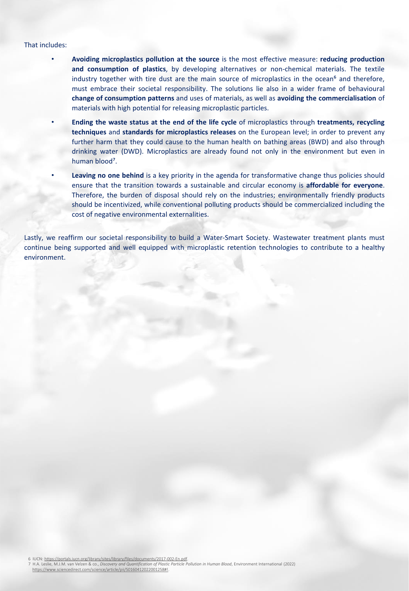#### That includes:

- **Avoiding microplastics pollution at the source** is the most effective measure: **reducing production and consumption of plastics**, by developing alternatives or non-chemical materials. The textile industry together with tire dust are the main source of microplastics in the ocean<sup>6</sup> and therefore, must embrace their societal responsibility. The solutions lie also in a wider frame of behavioural **change of consumption patterns** and uses of materials, as well as **avoiding the commercialisation** of materials with high potential for releasing microplastic particles.
- **Ending the waste status at the end of the life cycle** of microplastics through **treatments, recycling techniques** and **standards for microplastics releases** on the European level; in order to prevent any further harm that they could cause to the human health on bathing areas (BWD) and also through drinking water (DWD). Microplastics are already found not only in the environment but even in human blood<sup>7</sup>.
- **Leaving no one behind** is a key priority in the agenda for transformative change thus policies should ensure that the transition towards a sustainable and circular economy is **affordable for everyone**. Therefore, the burden of disposal should rely on the industries; environmentally friendly products should be incentivized, while conventional polluting products should be commercialized including the cost of negative environmental externalities.

Lastly, we reaffirm our societal responsibility to build a Water-Smart Society. Wastewater treatment plants must continue being supported and well equipped with microplastic retention technologies to contribute to a healthy environment.

6 IUCN: <https://portals.iucn.org/library/sites/library/files/documents/2017-002-En.pdf>.

7 H.A. Leslie, M.J.M. van Velzen & co., *Discovery and Quantification of Plastic Particle Pollution in Human Blood*, Environment International (2022) [https://www.sciencedirect.com/science/article/pii/S0160412022001258#!](https://www.sciencedirect.com/science/article/pii/S0160412022001258).